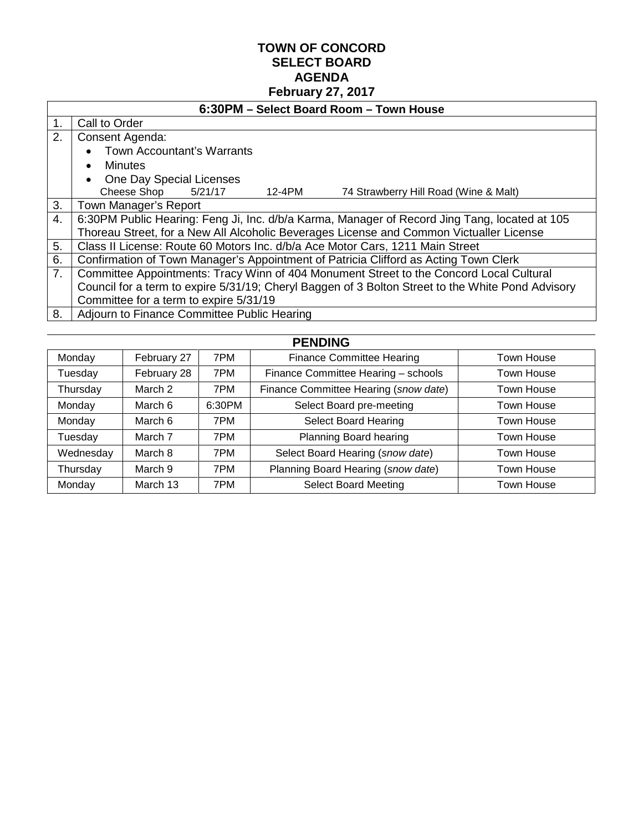## **TOWN OF CONCORD SELECT BOARD AGENDA February 27, 2017**

|    | 6:30PM - Select Board Room - Town House                                                           |  |  |  |  |  |
|----|---------------------------------------------------------------------------------------------------|--|--|--|--|--|
| 1. | Call to Order                                                                                     |  |  |  |  |  |
| 2. | Consent Agenda:                                                                                   |  |  |  |  |  |
|    | <b>Town Accountant's Warrants</b>                                                                 |  |  |  |  |  |
|    | Minutes<br>$\bullet$                                                                              |  |  |  |  |  |
|    | One Day Special Licenses                                                                          |  |  |  |  |  |
|    | Cheese Shop 5/21/17<br>12-4PM<br>74 Strawberry Hill Road (Wine & Malt)                            |  |  |  |  |  |
| 3. | Town Manager's Report                                                                             |  |  |  |  |  |
| 4. | 6:30PM Public Hearing: Feng Ji, Inc. d/b/a Karma, Manager of Record Jing Tang, located at 105     |  |  |  |  |  |
|    | Thoreau Street, for a New All Alcoholic Beverages License and Common Victualler License           |  |  |  |  |  |
| 5. | Class II License: Route 60 Motors Inc. d/b/a Ace Motor Cars, 1211 Main Street                     |  |  |  |  |  |
| 6. | Confirmation of Town Manager's Appointment of Patricia Clifford as Acting Town Clerk              |  |  |  |  |  |
| 7. | Committee Appointments: Tracy Winn of 404 Monument Street to the Concord Local Cultural           |  |  |  |  |  |
|    | Council for a term to expire 5/31/19; Cheryl Baggen of 3 Bolton Street to the White Pond Advisory |  |  |  |  |  |
|    | Committee for a term to expire 5/31/19                                                            |  |  |  |  |  |
| 8. | Adjourn to Finance Committee Public Hearing                                                       |  |  |  |  |  |
|    |                                                                                                   |  |  |  |  |  |

| <b>PENDING</b> |             |        |                                       |            |
|----------------|-------------|--------|---------------------------------------|------------|
| Monday         | February 27 | 7PM    | <b>Finance Committee Hearing</b>      | Town House |
| Tuesday        | February 28 | 7PM    | Finance Committee Hearing - schools   | Town House |
| Thursday       | March 2     | 7PM    | Finance Committee Hearing (snow date) | Town House |
| Monday         | March 6     | 6:30PM | Select Board pre-meeting              | Town House |
| Monday         | March 6     | 7PM    | <b>Select Board Hearing</b>           | Town House |
| Tuesday        | March 7     | 7PM    | Planning Board hearing                | Town House |
| Wednesday      | March 8     | 7PM    | Select Board Hearing (snow date)      | Town House |
| Thursday       | March 9     | 7PM    | Planning Board Hearing (snow date)    | Town House |
| Monday         | March 13    | 7PM    | <b>Select Board Meeting</b>           | Town House |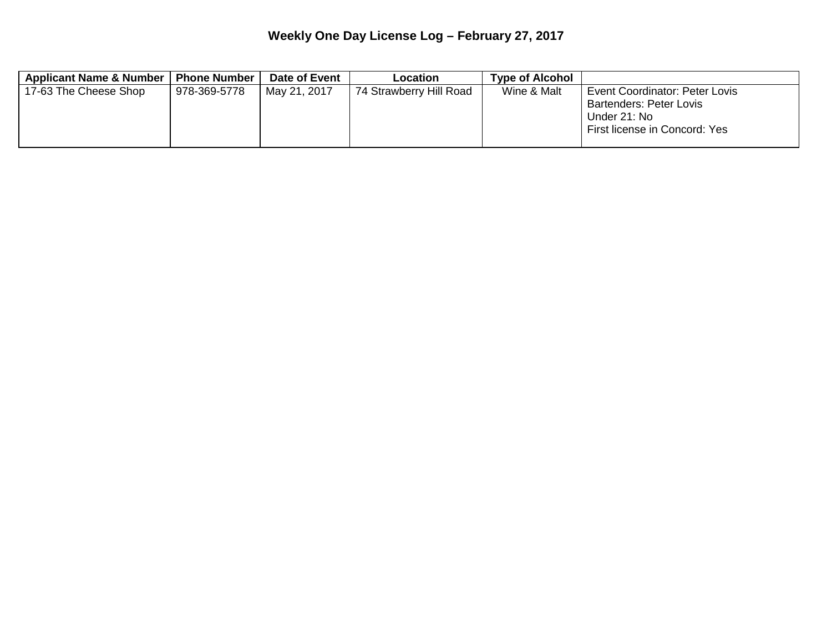## **Weekly One Day License Log – February 27, 2017**

| Applicant Name & Number | <b>Phone Number</b> | Date of Event | Location                | <b>Type of Alcohol</b> |                                                                                                                   |
|-------------------------|---------------------|---------------|-------------------------|------------------------|-------------------------------------------------------------------------------------------------------------------|
| 17-63 The Cheese Shop   | 978-369-5778        | May 21, 2017  | 74 Strawberry Hill Road | Wine & Malt            | Event Coordinator: Peter Lovis<br><b>Bartenders: Peter Lovis</b><br>Under 21: No<br>First license in Concord: Yes |
|                         |                     |               |                         |                        |                                                                                                                   |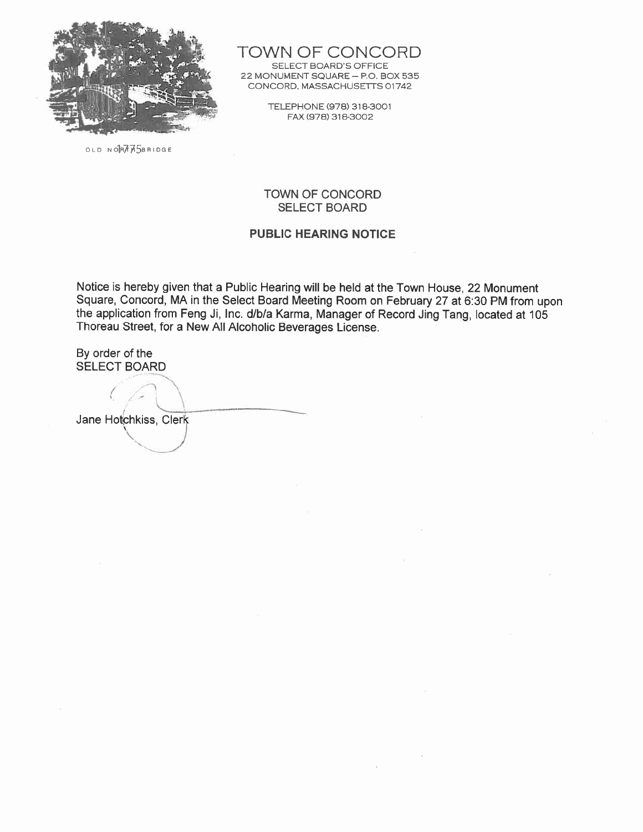

TOWN OF CONCORD

SELECT BOARD'S OFFICE 22 MONUMENT SQUARE - P.O. BOX 535 CONCORD, MASSACHUSETTS 01742

> TELEPHONE (978) 318-3001 FAX (978) 318-3002

OLD NORTHASBRIDGE

#### **TOWN OF CONCORD SELECT BOARD**

#### **PUBLIC HEARING NOTICE**

Notice is hereby given that a Public Hearing will be held at the Town House, 22 Monument Square, Concord, MA in the Select Board Meeting Room on February 27 at 6:30 PM from upon the application from Feng Ji, Inc. d/b/a Karma, Manager of Record Jing Tang, located at 105 Thoreau Street, for a New All Alcoholic Beverages License.

By order of the **SELECT BOARD** 

Jane Hotchkiss, Clerk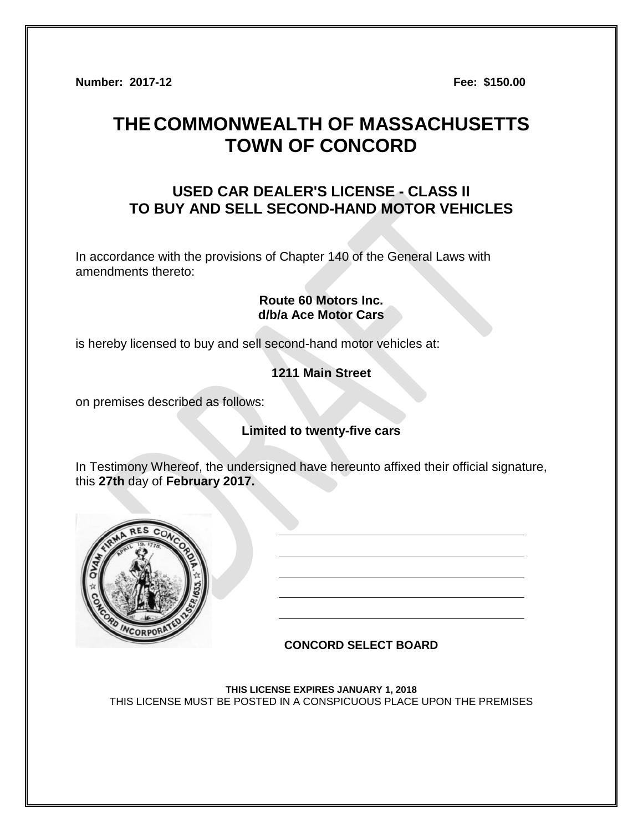**Number: 2017-12 Fee: \$150.00**

# **THECOMMONWEALTH OF MASSACHUSETTS TOWN OF CONCORD**

## **USED CAR DEALER'S LICENSE - CLASS II TO BUY AND SELL SECOND-HAND MOTOR VEHICLES**

In accordance with the provisions of Chapter 140 of the General Laws with amendments thereto:

## **Route 60 Motors Inc. d/b/a Ace Motor Cars**

is hereby licensed to buy and sell second-hand motor vehicles at:

## **1211 Main Street**

on premises described as follows:

## **Limited to twenty-five cars**

In Testimony Whereof, the undersigned have hereunto affixed their official signature, this **27th** day of **February 2017.**



## **CONCORD SELECT BOARD**

**THIS LICENSE EXPIRES JANUARY 1, 2018** THIS LICENSE MUST BE POSTED IN A CONSPICUOUS PLACE UPON THE PREMISES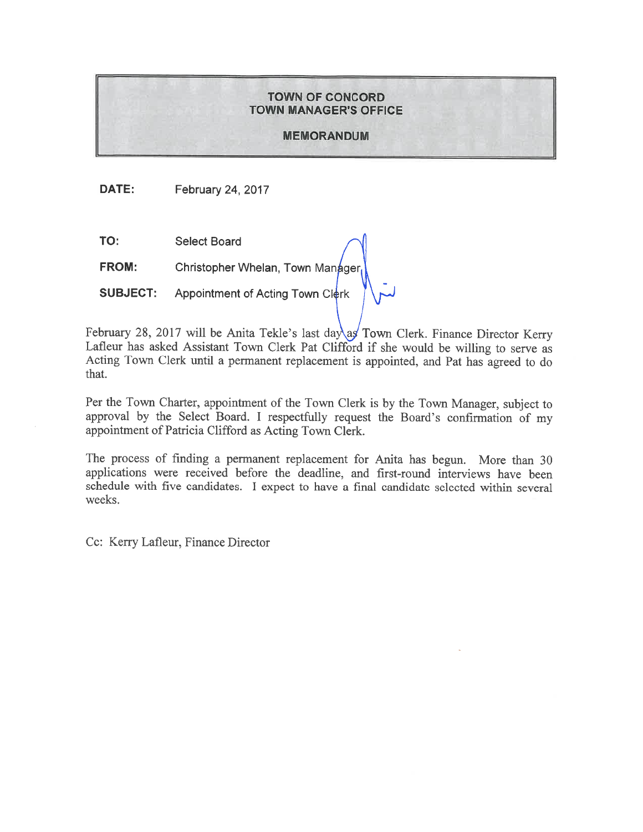#### **TOWN OF CONCORD TOWN MANAGER'S OFFICE**

#### **MEMORANDUM**

DATE: **February 24, 2017** 

TO: **Select Board** 

**FROM:** Christopher Whelan, Town Manager

Appointment of Acting Town Clerk **SUBJECT:** 

February 28, 2017 will be Anita Tekle's last day as Town Clerk. Finance Director Kerry Lafleur has asked Assistant Town Clerk Pat Clifford if she would be willing to serve as Acting Town Clerk until a permanent replacement is appointed, and Pat has agreed to do that.

Per the Town Charter, appointment of the Town Clerk is by the Town Manager, subject to approval by the Select Board. I respectfully request the Board's confirmation of my appointment of Patricia Clifford as Acting Town Clerk.

The process of finding a permanent replacement for Anita has begun. More than 30 applications were received before the deadline, and first-round interviews have been schedule with five candidates. I expect to have a final candidate selected within several weeks.

Cc: Kerry Lafleur, Finance Director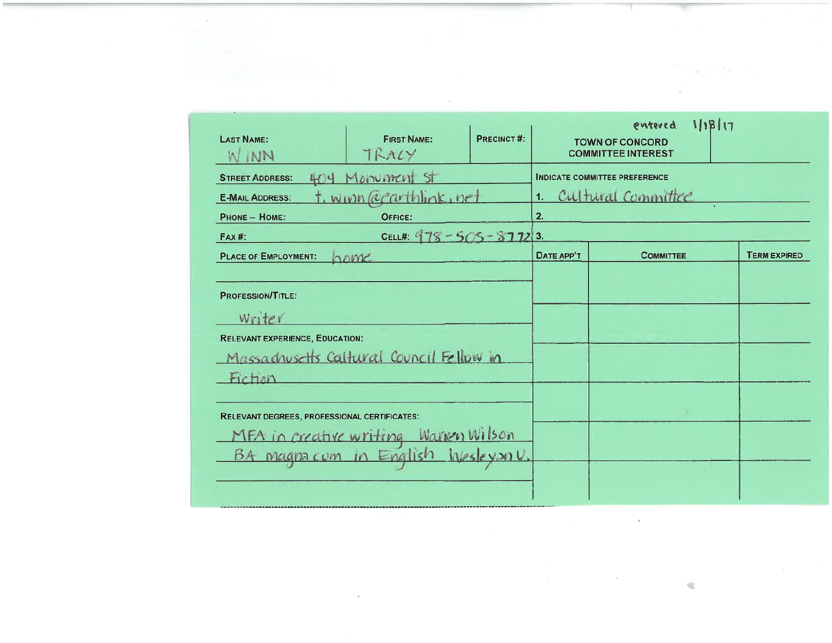| <b>LAST NAME:</b><br>W INN                                                              | <b>FIRST NAME:</b><br>TRACY                                                 | PRECINCT#: |            | 11817<br>entered<br><b>TOWN OF CONCORD</b><br><b>COMMITTEE INTEREST</b> |                     |
|-----------------------------------------------------------------------------------------|-----------------------------------------------------------------------------|------------|------------|-------------------------------------------------------------------------|---------------------|
| <b>STREET ADDRESS:</b><br><b>E-MAIL ADDRESS:</b>                                        | 404 Manument St<br>t, winn @earthlink, net                                  |            | 1.         | <b>INDICATE COMMITTEE PREFERENCE</b><br>Cultural Committee              |                     |
| PHONE - HOME:<br>$FAX#$ :                                                               | OFFICE:<br>CELL#: $975 - 5(5 - 3772)$ 3.                                    |            | 2.         |                                                                         |                     |
| <b>PLACE OF EMPLOYMENT:</b>                                                             | $h$ ame                                                                     |            | DATE APP'T | <b>COMMITTEE</b>                                                        | <b>TERM EXPIRED</b> |
| <b>PROFESSION/TITLE:</b><br>writer<br><b>RELEVANT EXPERIENCE, EDUCATION:</b><br>Fiction | Massachusetts Caltural Council Fellow in                                    |            |            |                                                                         |                     |
| RELEVANT DEGREES, PROFESSIONAL CERTIFICATES:                                            | MFA in creative writing Warren Wilson<br>BA magnacum in English Wesleysonu. |            |            |                                                                         |                     |
|                                                                                         |                                                                             |            |            |                                                                         |                     |

 $\label{eq:2.1} \frac{1}{\sqrt{2\pi}}\int_{\mathbb{R}^3}\frac{1}{\sqrt{2\pi}}\int_{\mathbb{R}^3}\frac{1}{\sqrt{2\pi}}\int_{\mathbb{R}^3}\frac{1}{\sqrt{2\pi}}\int_{\mathbb{R}^3}\frac{1}{\sqrt{2\pi}}\int_{\mathbb{R}^3}\frac{1}{\sqrt{2\pi}}\int_{\mathbb{R}^3}\frac{1}{\sqrt{2\pi}}\int_{\mathbb{R}^3}\frac{1}{\sqrt{2\pi}}\int_{\mathbb{R}^3}\frac{1}{\sqrt{2\pi}}\int_{\mathbb{R}^3}\frac{1$ 

仓

 $\label{eq:2.1} \mathcal{L}_{\text{max}}(\mathcal{L}_{\text{max}}) = \mathcal{L}_{\text{max}}(\mathcal{L}_{\text{max}})$ 

 $\sim$ 

The company

 $\label{eq:1.1} \begin{array}{c} \mathcal{D}_{\mathbb{R}}(\mathbf{x})=\mathcal{D}_{\mathbb{R}}(\mathbf{x})\\ \mathcal{D}_{\mathbb{R}}(\mathbf{x})=\mathcal{D}_{\mathbb{R}}(\mathbf{x}) \end{array}$ 

 $\sim$ 

 $\mathcal{L}^{\prime}$ 

 $\mathcal{L}(\mathcal{L}^{\mathcal{L}})$  and  $\mathcal{L}^{\mathcal{L}}$  and  $\mathcal{L}^{\mathcal{L}}$ 

 $\mathcal{L}^{\text{max}}_{\text{max}}$  , where  $\mathcal{L}^{\text{max}}_{\text{max}}$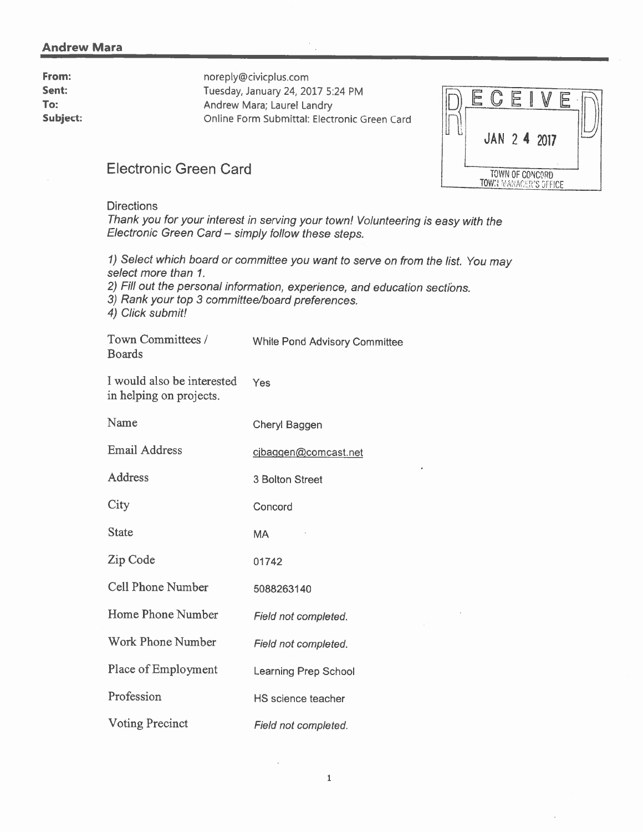#### **Andrew Mara**

From: Sent: To: Subject: noreply@civicplus.com Tuesday, January 24, 2017 5:24 PM Andrew Mara; Laurel Landry Online Form Submittal: Electronic Green Card



## **Electronic Green Card**

**Directions** 

Thank you for your interest in serving your town! Volunteering is easy with the Electronic Green Card - simply follow these steps.

1) Select which board or committee you want to serve on from the list. You may select more than 1.

2) Fill out the personal information, experience, and education sections.

3) Rank your top 3 committee/board preferences.

4) Click submit!

| Town Committees / | <b>White Pond Advisory Committee</b> |
|-------------------|--------------------------------------|
| <b>Boards</b>     |                                      |

I would also be interested Yes in helping on projects.

| Name                     | Cheryl Baggen        |
|--------------------------|----------------------|
| <b>Email Address</b>     | cibaggen@comcast.net |
| Address                  | 3 Bolton Street      |
| City                     | Concord              |
| <b>State</b>             | MA                   |
| Zip Code                 | 01742                |
| <b>Cell Phone Number</b> | 5088263140           |
| Home Phone Number        | Field not completed. |
| Work Phone Number        | Field not completed. |
| Place of Employment      | Learning Prep School |
| Profession               | HS science teacher   |
| <b>Voting Precinct</b>   | Field not completed. |